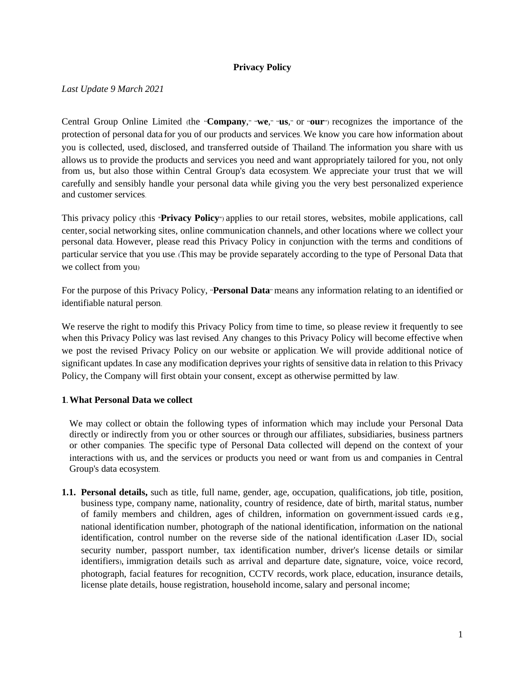### **Privacy Policy**

*Last Update 9 March 2021*

Central Group Online Limited (the "**Company**," "**we**," "**us**," or "**our**") recognizes the importance of the protection of personal data for you of our products and services. We know you care how information about you is collected, used, disclosed, and transferred outside of Thailand. The information you share with us allows us to provide the products and services you need and want appropriately tailored for you, not only from us, but also those within Central Group's data ecosystem. We appreciate your trust that we will carefully and sensibly handle your personal data while giving you the very best personalized experience and customer services.

This privacy policy (this "**Privacy Policy**") applies to our retail stores, websites, mobile applications, call center,social networking sites, online communication channels, and other locations where we collect your personal data. However, please read this Privacy Policy in conjunction with the terms and conditions of particular service that you use. (This may be provide separately according to the type of Personal Data that we collect from you)

For the purpose of this Privacy Policy, "**Personal Data**" means any information relating to an identified or identifiable natural person.

We reserve the right to modify this Privacy Policy from time to time, so please review it frequently to see when this Privacy Policy was last revised. Any changes to this Privacy Policy will become effective when we post the revised Privacy Policy on our website or application. We will provide additional notice of significant updates.In case any modification deprives your rights of sensitive data in relation to this Privacy Policy, the Company will first obtain your consent, except as otherwise permitted by law.

### **1. What Personal Data we collect**

We may collect or obtain the following types of information which may include your Personal Data directly or indirectly from you or other sources or through our affiliates, subsidiaries, business partners or other companies. The specific type of Personal Data collected will depend on the context of your interactions with us, and the services or products you need or want from us and companies in Central Group's data ecosystem.

**1.1. Personal details,** such as title, full name, gender, age, occupation, qualifications, job title, position, business type, company name, nationality, country of residence, date of birth, marital status, number of family members and children, ages of children, information on government-issued cards (e.g., national identification number, photograph of the national identification, information on the national identification, control number on the reverse side of the national identification (Laser ID), social security number, passport number, tax identification number, driver's license details or similar identifiers), immigration details such as arrival and departure date, signature, voice, voice record, photograph, facial features for recognition, CCTV records, work place, education, insurance details, license plate details, house registration, household income, salary and personal income;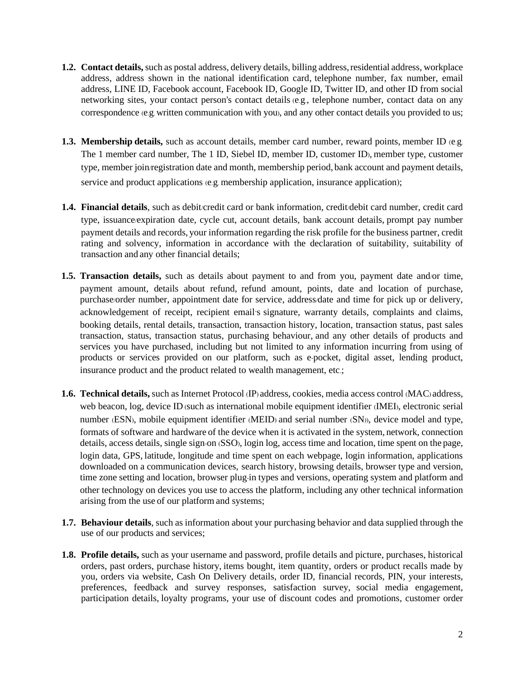- **1.2. Contact details,** such as postal address, delivery details, billing address, residential address, workplace address, address shown in the national identification card, telephone number, fax number, email address, LINE ID, Facebook account, Facebook ID, Google ID, Twitter ID, and other ID from social networking sites, your contact person's contact details (e.g., telephone number, contact data on any correspondence (e.g. written communication with you), and any other contact details you provided to us;
- **1.3. Membership details,** such as account details, member card number, reward points, member ID (e.g. The 1 member card number, The 1 ID, Siebel ID, member ID, customer ID), member type, customer type, member join/registration date and month, membership period, bank account and payment details, service and product applications (e.g. membership application, insurance application);
- 1.4. Financial details, such as debit/credit card or bank information, credit/debit card number, credit card type, issuance/expiration date, cycle cut, account details, bank account details, prompt pay number payment details and records, your information regarding the risk profile for the business partner, credit rating and solvency, information in accordance with the declaration of suitability, suitability of transaction and any other financial details;
- **1.5. Transaction details,** such as details about payment to and from you, payment date and/or time, payment amount, details about refund, refund amount, points, date and location of purchase, purchase/order number, appointment date for service, address/date and time for pick up or delivery, acknowledgement of receipt, recipient email's signature, warranty details, complaints and claims, booking details, rental details, transaction, transaction history, location, transaction status, past sales transaction, status, transaction status, purchasing behaviour, and any other details of products and services you have purchased, including but not limited to any information incurring from using of products or services provided on our platform, such as e-pocket, digital asset, lending product, insurance product and the product related to wealth management, etc.;
- **1.6. Technical details,** such as Internet Protocol (IP) address, cookies, media access control (MAC) address, web beacon, log, device ID (such as international mobile equipment identifier (IMEI), electronic serial number (ESN), mobile equipment identifier (MEID) and serial number (SN)), device model and type, formats of software and hardware of the device when it is activated in the system, network, connection details, access details, single sign-on (SSO), login log, access time and location, time spent on the page, login data, GPS, latitude, longitude and time spent on each webpage, login information, applications downloaded on a communication devices, search history, browsing details, browser type and version, time zone setting and location, browser plug-in types and versions, operating system and platform and other technology on devices you use to access the platform, including any other technical information arising from the use of our platform and systems;
- **1.7. Behaviour details**, such as information about your purchasing behavior and data supplied through the use of our products and services;
- **1.8. Profile details,** such as your username and password, profile details and picture, purchases, historical orders, past orders, purchase history, items bought, item quantity, orders or product recalls made by you, orders via website, Cash On Delivery details, order ID, financial records, PIN, your interests, preferences, feedback and survey responses, satisfaction survey, social media engagement, participation details, loyalty programs, your use of discount codes and promotions, customer order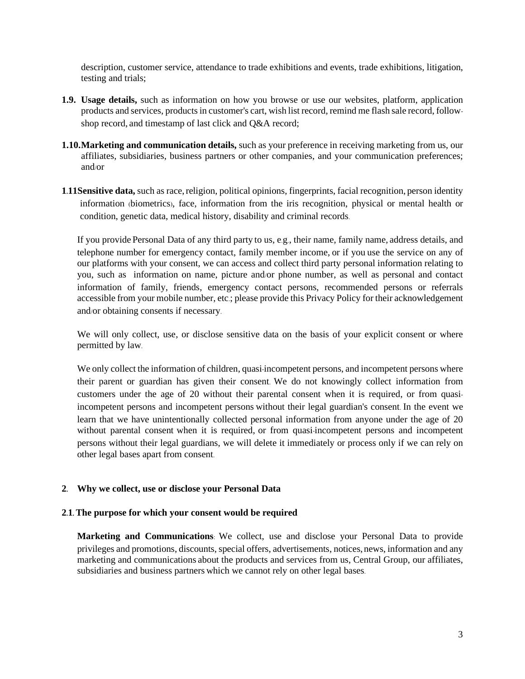description, customer service, attendance to trade exhibitions and events, trade exhibitions, litigation, testing and trials;

- **1.9. Usage details,** such as information on how you browse or use our websites, platform, application products and services, productsin customer's cart, wish list record, remind me flash sale record, followshop record, and timestamp of last click and Q&A record;
- **1.10.Marketing and communication details,** such as your preference in receiving marketing from us, our affiliates, subsidiaries, business partners or other companies, and your communication preferences; and/or
- **1.11Sensitive data,** such as race,religion, political opinions, fingerprints, facial recognition, person identity information (biometrics), face, information from the iris recognition, physical or mental health or condition, genetic data, medical history, disability and criminal records.

If you provide Personal Data of any third party to us, e.g., their name, family name, address details, and telephone number for emergency contact, family member income, or if you use the service on any of our platforms with your consent, we can access and collect third party personal information relating to you, such as information on name, picture and/or phone number, as well as personal and contact information of family, friends, emergency contact persons, recommended persons or referrals accessible from your mobile number, etc.; please provide this Privacy Policy for their acknowledgement and/or obtaining consents if necessary.

We will only collect, use, or disclose sensitive data on the basis of your explicit consent or where permitted by law.

We only collect the information of children, quasi-incompetent persons, and incompetent persons where their parent or guardian has given their consent. We do not knowingly collect information from customers under the age of 20 without their parental consent when it is required, or from quasiincompetent persons and incompetent persons without their legal guardian's consent. In the event we learn that we have unintentionally collected personal information from anyone under the age of 20 without parental consent when it is required, or from quasi-incompetent persons and incompetent persons without their legal guardians, we will delete it immediately or process only if we can rely on other legal bases apart from consent.

### **2. Why we collect, use or disclose your Personal Data**

### **2.1. The purpose for which your consent would be required**

**Marketing and Communications**: We collect, use and disclose your Personal Data to provide privileges and promotions, discounts, special offers, advertisements, notices,news, information and any marketing and communications about the products and services from us, Central Group, our affiliates, subsidiaries and business partners which we cannot rely on other legal bases.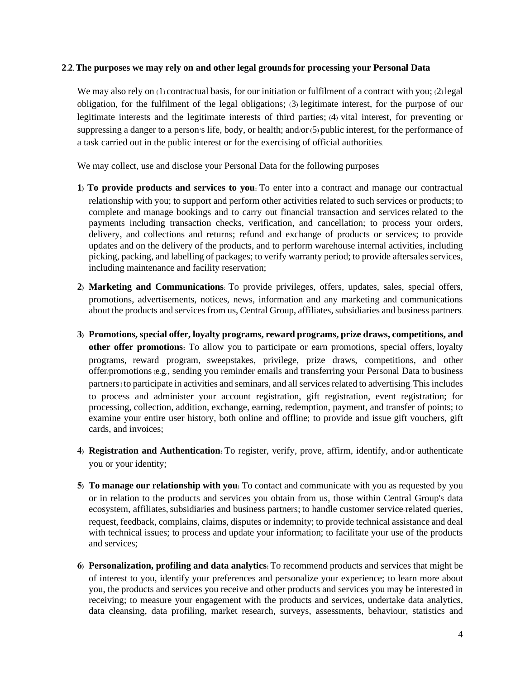#### **2.2. The purposes we may rely on and other legal groundsfor processing your Personal Data**

We may also rely on (1) contractual basis, for our initiation or fulfilment of a contract with you; (2) legal obligation, for the fulfilment of the legal obligations; (3) legitimate interest, for the purpose of our legitimate interests and the legitimate interests of third parties; (4) vital interest, for preventing or suppressing a danger to a person's life, body, or health; and/or(5) public interest, for the performance of a task carried out in the public interest or for the exercising of official authorities.

We may collect, use and disclose your Personal Data for the following purposes

- **1) To provide products and services to you:** To enter into a contract and manage our contractual relationship with you; to support and perform other activities related to such services or products; to complete and manage bookings and to carry out financial transaction and services related to the payments including transaction checks, verification, and cancellation; to process your orders, delivery, and collections and returns; refund and exchange of products or services; to provide updates and on the delivery of the products, and to perform warehouse internal activities, including picking, packing, and labelling of packages; to verify warranty period; to provide aftersales services, including maintenance and facility reservation;
- **2) Marketing and Communications**: To provide privileges, offers, updates, sales, special offers, promotions, advertisements, notices, news, information and any marketing and communications about the products and services from us, Central Group, affiliates, subsidiaries and business partners.
- **3) Promotions, special offer, loyalty programs, reward programs, prize draws, competitions, and other offer promotions:** To allow you to participate or earn promotions, special offers, loyalty programs, reward program, sweepstakes, privilege, prize draws, competitions, and other offer/promotions (e.g., sending you reminder emails and transferring your Personal Data to business partners)to participate in activities and seminars, and all services related to advertising. This includes to process and administer your account registration, gift registration, event registration; for processing, collection, addition, exchange, earning, redemption, payment, and transfer of points; to examine your entire user history, both online and offline; to provide and issue gift vouchers, gift cards, and invoices;
- **4) Registration and Authentication:** To register, verify, prove, affirm, identify, and/or authenticate you or your identity;
- **5) To manage our relationship with you:** To contact and communicate with you as requested by you or in relation to the products and services you obtain from us, those within Central Group's data ecosystem, affiliates, subsidiaries and business partners; to handle customer service-related queries, request, feedback, complains, claims, disputes or indemnity; to provide technical assistance and deal with technical issues; to process and update your information; to facilitate your use of the products and services;
- **6) Personalization, profiling and data analytics:** To recommend products and services that might be of interest to you, identify your preferences and personalize your experience; to learn more about you, the products and services you receive and other products and services you may be interested in receiving; to measure your engagement with the products and services, undertake data analytics, data cleansing, data profiling, market research, surveys, assessments, behaviour, statistics and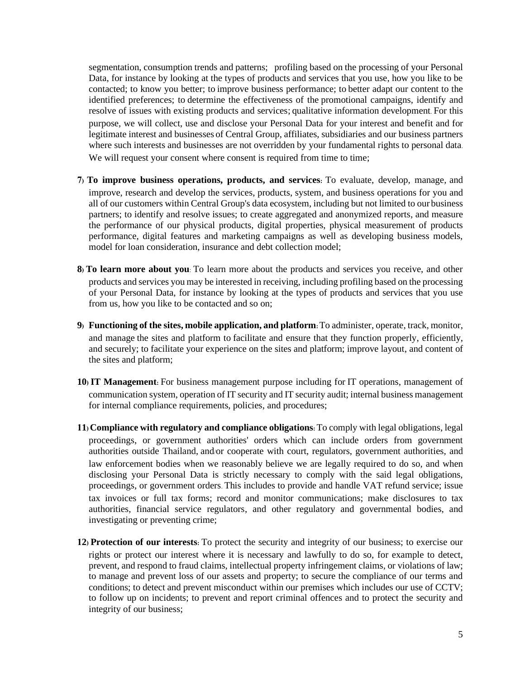segmentation, consumption trends and patterns; profiling based on the processing of your Personal Data, for instance by looking at the types of products and services that you use, how you like to be contacted; to know you better; to improve business performance; to better adapt our content to the identified preferences; to determine the effectiveness of the promotional campaigns, identify and resolve of issues with existing products and services; qualitative information development. For this purpose, we will collect, use and disclose your Personal Data for your interest and benefit and for legitimate interest and businesses of Central Group, affiliates, subsidiaries and our business partners where such interests and businesses are not overridden by your fundamental rights to personal data. We will request your consent where consent is required from time to time;

- **7) To improve business operations, products, and services:** To evaluate, develop, manage, and improve, research and develop the services, products, system, and business operations for you and all of our customers within Central Group's data ecosystem, including but not limited to our business partners; to identify and resolve issues; to create aggregated and anonymized reports, and measure the performance of our physical products, digital properties, physical measurement of products performance, digital features and marketing campaigns as well as developing business models, model for loan consideration, insurance and debt collection model;
- **8) To learn more about you**: To learn more about the products and services you receive, and other products and services you may be interested in receiving, including profiling based on the processing of your Personal Data, for instance by looking at the types of products and services that you use from us, how you like to be contacted and so on;
- **9) Functioning of the sites, mobile application, and platform:**To administer, operate, track, monitor, and manage the sites and platform to facilitate and ensure that they function properly, efficiently, and securely; to facilitate your experience on the sites and platform; improve layout, and content of the sites and platform;
- **10) IT Management:** For business management purpose including for IT operations, management of communication system, operation of IT security and IT security audit; internal business management for internal compliance requirements, policies, and procedures;
- **11) Compliance with regulatory and compliance obligations:**To comply with legal obligations, legal proceedings, or government authorities' orders which can include orders from government authorities outside Thailand, and/or cooperate with court, regulators, government authorities, and law enforcement bodies when we reasonably believe we are legally required to do so, and when disclosing your Personal Data is strictly necessary to comply with the said legal obligations, proceedings, or government orders. This includes to provide and handle VAT refund service; issue tax invoices or full tax forms; record and monitor communications; make disclosures to tax authorities, financial service regulators, and other regulatory and governmental bodies, and investigating or preventing crime;
- **12) Protection of our interests:** To protect the security and integrity of our business; to exercise our rights or protect our interest where it is necessary and lawfully to do so, for example to detect, prevent, and respond to fraud claims, intellectual property infringement claims, or violations of law; to manage and prevent loss of our assets and property; to secure the compliance of our terms and conditions; to detect and prevent misconduct within our premises which includes our use of CCTV; to follow up on incidents; to prevent and report criminal offences and to protect the security and integrity of our business;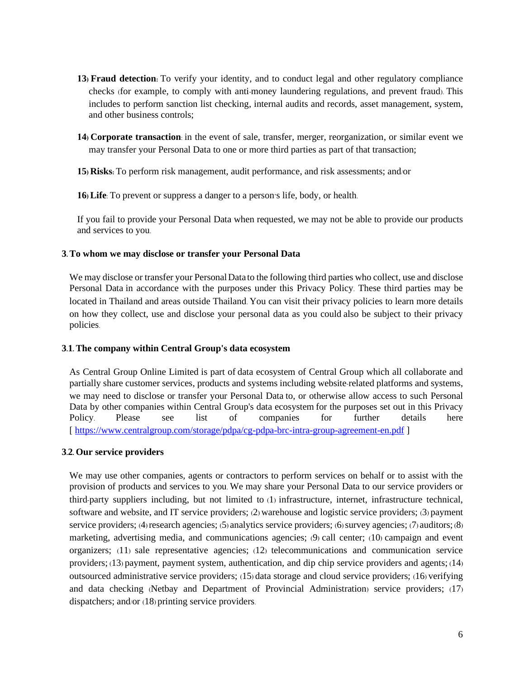- **13) Fraud detection:** To verify your identity, and to conduct legal and other regulatory compliance checks (for example, to comply with anti-money laundering regulations, and prevent fraud). This includes to perform sanction list checking, internal audits and records, asset management, system, and other business controls;
- **14) Corporate transaction**: in the event of sale, transfer, merger, reorganization, or similar event we may transfer your Personal Data to one or more third parties as part of that transaction;

**15) Risks:** To perform risk management, audit performance, and risk assessments; and/or

**16) Life**: To prevent or suppress a danger to a person's life, body, or health.

If you fail to provide your Personal Data when requested, we may not be able to provide our products and services to you.

### **3.To whom we may disclose or transfer your Personal Data**

We may disclose or transfer your Personal Data to the following third parties who collect, use and disclose Personal Data in accordance with the purposes under this Privacy Policy. These third parties may be located in Thailand and areas outside Thailand. You can visit their privacy policies to learn more details on how they collect, use and disclose your personal data as you could also be subject to their privacy policies.

### **3.1. The company within Central Group's data ecosystem**

As Central Group Online Limited is part of data ecosystem of Central Group which all collaborate and partially share customer services, products and systems including website-related platforms and systems, we may need to disclose or transfer your Personal Data to, or otherwise allow access to such Personal Data by other companies within Central Group's data ecosystem for the purposes set out in this Privacy Policy. Please see list of companies for further details here [ <https://www.centralgroup.com/storage/pdpa/cg-pdpa-brc-intra-group-agreement-en.pdf> ]

### **3.2. Our service providers**

We may use other companies, agents or contractors to perform services on behalf or to assist with the provision of products and services to you. We may share your Personal Data to our service providers or third-party suppliers including, but not limited to (1) infrastructure, internet, infrastructure technical, software and website, and IT service providers; (2) warehouse and logistic service providers; (3) payment service providers; (4) research agencies; (5) analytics service providers; (6) survey agencies; (7) auditors; (8) marketing, advertising media, and communications agencies; (9) call center; (10) campaign and event organizers; (11) sale representative agencies; (12) telecommunications and communication service providers; (13) payment, payment system, authentication, and dip chip service providers and agents; (14) outsourced administrative service providers; (15) data storage and cloud service providers; (16) verifying and data checking (Netbay and Department of Provincial Administration) service providers; (17) dispatchers; and/or (18) printing service providers.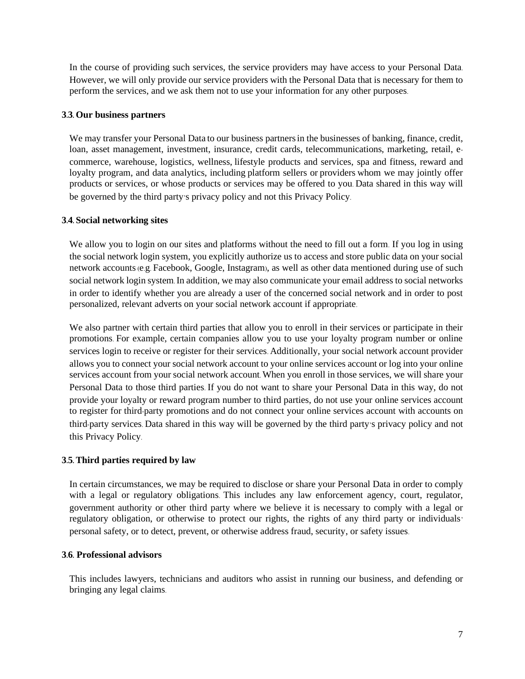In the course of providing such services, the service providers may have access to your Personal Data. However, we will only provide our service providers with the Personal Data that is necessary for them to perform the services, and we ask them not to use your information for any other purposes.

#### **3.3. Our business partners**

We may transfer your Personal Data to our business partners in the businesses of banking, finance, credit, loan, asset management, investment, insurance, credit cards, telecommunications, marketing, retail, ecommerce, warehouse, logistics, wellness, lifestyle products and services, spa and fitness, reward and loyalty program, and data analytics, including platform sellers or providers whom we may jointly offer products or services, or whose products or services may be offered to you. Data shared in this way will be governed by the third party's privacy policy and not this Privacy Policy.

### **3.4. Social networking sites**

We allow you to login on our sites and platforms without the need to fill out a form. If you log in using the social network login system, you explicitly authorize us to access and store public data on your social network accounts (e.g. Facebook, Google, Instagram), as well as other data mentioned during use of such social network login system. In addition, we may also communicate your email address to social networks in order to identify whether you are already a user of the concerned social network and in order to post personalized, relevant adverts on your social network account if appropriate.

We also partner with certain third parties that allow you to enroll in their services or participate in their promotions. For example, certain companies allow you to use your loyalty program number or online services login to receive or register for their services. Additionally, your social network account provider allows you to connect your social network account to your online services account or log into your online services account from your social network account. When you enroll in those services, we will share your Personal Data to those third parties. If you do not want to share your Personal Data in this way, do not provide your loyalty or reward program number to third parties, do not use your online services account to register for third-party promotions and do not connect your online services account with accounts on third-party services. Data shared in this way will be governed by the third party's privacy policy and not this Privacy Policy.

### **3.5. Third parties required by law**

In certain circumstances, we may be required to disclose or share your Personal Data in order to comply with a legal or regulatory obligations. This includes any law enforcement agency, court, regulator, government authority or other third party where we believe it is necessary to comply with a legal or regulatory obligation, or otherwise to protect our rights, the rights of any third party or individuals' personal safety, or to detect, prevent, or otherwise address fraud, security, or safety issues.

#### **3.6. Professional advisors**

This includes lawyers, technicians and auditors who assist in running our business, and defending or bringing any legal claims.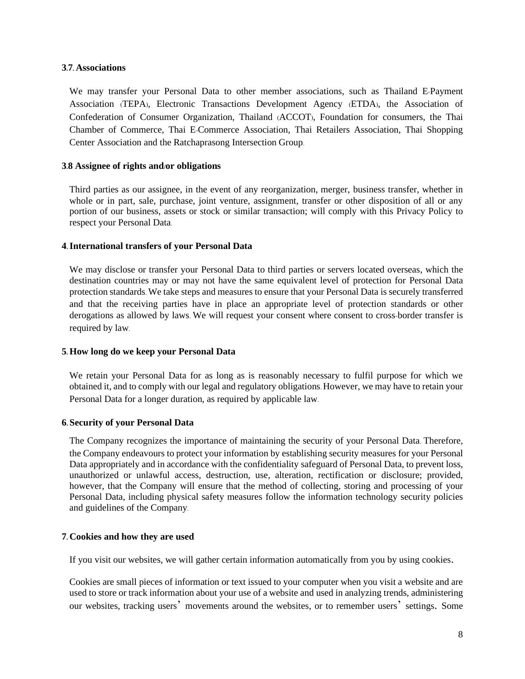#### **3.7. Associations**

We may transfer your Personal Data to other member associations, such as Thailand E-Payment Association (TEPA), Electronic Transactions Development Agency (ETDA), the Association of Confederation of Consumer Organization, Thailand (ACCOT), Foundation for consumers, the Thai Chamber of Commerce, Thai E-Commerce Association, Thai Retailers Association, Thai Shopping Center Association and the Ratchaprasong Intersection Group.

### **3.8 Assignee of rights and/or obligations**

Third parties as our assignee, in the event of any reorganization, merger, business transfer, whether in whole or in part, sale, purchase, joint venture, assignment, transfer or other disposition of all or any portion of our business, assets or stock or similar transaction; will comply with this Privacy Policy to respect your Personal Data.

#### **4. International transfers of your Personal Data**

We may disclose or transfer your Personal Data to third parties or servers located overseas, which the destination countries may or may not have the same equivalent level of protection for Personal Data protection standards. We take steps and measures to ensure that your Personal Data is securely transferred and that the receiving parties have in place an appropriate level of protection standards or other derogations as allowed by laws. We will request your consent where consent to cross-border transfer is required by law.

### **5. How long do we keep your Personal Data**

We retain your Personal Data for as long as is reasonably necessary to fulfil purpose for which we obtained it, and to comply with our legal and regulatory obligations. However, we may have to retain your Personal Data for a longer duration, as required by applicable law.

### **6. Security of your Personal Data**

The Company recognizes the importance of maintaining the security of your Personal Data. Therefore, the Company endeavours to protect your information by establishing security measures for your Personal Data appropriately and in accordance with the confidentiality safeguard of Personal Data, to prevent loss, unauthorized or unlawful access, destruction, use, alteration, rectification or disclosure; provided, however, that the Company will ensure that the method of collecting, storing and processing of your Personal Data, including physical safety measures follow the information technology security policies and guidelines of the Company.

#### **7. Cookies and how they are used**

If you visit our websites, we will gather certain information automatically from you by using cookies.

Cookies are small pieces of information or text issued to your computer when you visit a website and are used to store or track information about your use of a website and used in analyzing trends, administering our websites, tracking users' movements around the websites, or to remember users' settings. Some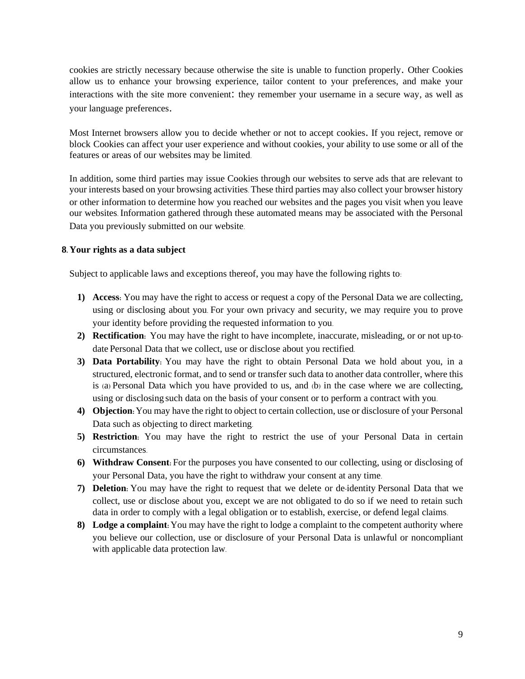cookies are strictly necessary because otherwise the site is unable to function properly. Other Cookies allow us to enhance your browsing experience, tailor content to your preferences, and make your interactions with the site more convenient: they remember your username in a secure way, as well as your language preferences.

Most Internet browsers allow you to decide whether or not to accept cookies. If you reject, remove or block Cookies can affect your user experience and without cookies, your ability to use some or all of the features or areas of our websites may be limited.

In addition, some third parties may issue Cookies through our websites to serve ads that are relevant to your interests based on your browsing activities. These third parties may also collect your browser history or other information to determine how you reached our websites and the pages you visit when you leave our websites. Information gathered through these automated means may be associated with the Personal Data you previously submitted on our website.

### **8. Your rights as a data subject**

Subject to applicable laws and exceptions thereof, you may have the following rights to:

- **1) Access:** You may have the right to access or request a copy of the Personal Data we are collecting, using or disclosing about you. For your own privacy and security, we may require you to prove your identity before providing the requested information to you.
- **2) Rectification:** You may have the right to have incomplete, inaccurate, misleading, or or not up-todate Personal Data that we collect, use or disclose about you rectified.
- **3) Data Portability:** You may have the right to obtain Personal Data we hold about you, in a structured, electronic format, and to send or transfer such data to another data controller, where this is (a) Personal Data which you have provided to us, and (b) in the case where we are collecting, using or disclosing such data on the basis of your consent or to perform a contract with you.
- **4) Objection:**You may have the right to object to certain collection, use or disclosure of your Personal Data such as objecting to direct marketing.
- **5) Restriction:** You may have the right to restrict the use of your Personal Data in certain circumstances.
- **6) Withdraw Consent:** For the purposes you have consented to our collecting, using or disclosing of your Personal Data, you have the right to withdraw your consent at any time.
- **7) Deletion:** You may have the right to request that we delete or de-identity Personal Data that we collect, use or disclose about you, except we are not obligated to do so if we need to retain such data in order to comply with a legal obligation or to establish, exercise, or defend legal claims.
- **8) Lodge a complaint:** You may have the right to lodge a complaint to the competent authority where you believe our collection, use or disclosure of your Personal Data is unlawful or noncompliant with applicable data protection law.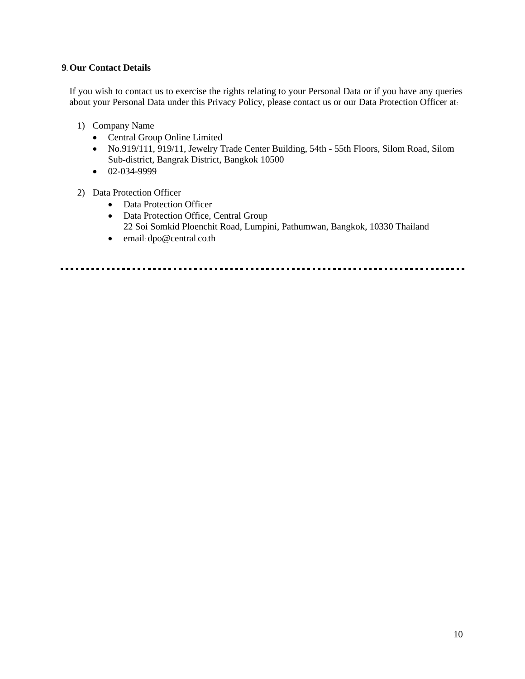### **9. Our Contact Details**

If you wish to contact us to exercise the rights relating to your Personal Data or if you have any queries about your Personal Data under this Privacy Policy, please contact us or our Data Protection Officer at:

- 1) Company Name
	- Central Group Online Limited
	- No.919/111, 919/11, Jewelry Trade Center Building, 54th 55th Floors, Silom Road, Silom Sub-district, Bangrak District, Bangkok 10500
	- 02-034-9999

### 2) Data Protection Officer

- Data Protection Officer
- Data Protection Office, Central Group 22 Soi Somkid Ploenchit Road, Lumpini, Pathumwan, Bangkok, 10330 Thailand
- email: dpo@central.co.th

<u>......................</u>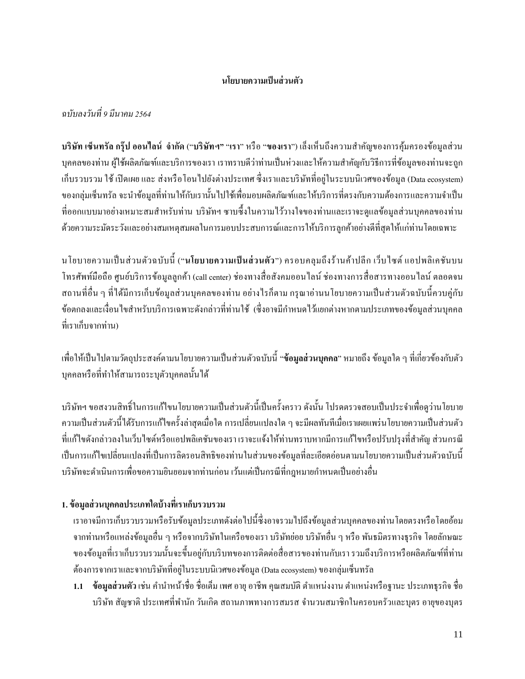### **นโยบายความเป็ นส่วนตัว**

### *ฉบับลงวันที่9 มีนาคม 2564*

**บริษัท เซ็นทรัลกรุ๊ป ออนไลน์ จ ากัด** ("**บริษัทฯ"** "**เรา**" หรือ "**ของเรา**") เล็งเห็นถึงความส าคัญของการคุ้มครองข้อมูลส่วน บุคคลของท่าน ผู้ใช้ผลิตภัณฑ์และบริการของเรา เราทราบดีว่าท่านเป็นห่วงและให้ความสำคัญกับวิธีการที่ข้อมูลของท่านจะถูก เก็บรวบรวม ใช้ เปิ ดเผย และ ส่งหรือโอนไปยังต่างประเทศ ซึ่งเราและบริษัทที่อยู่ในระบบนิเวศของข้อมูล(Data ecosystem) ึ ของกลุ่มเซ็นทรัล จะนำข้อมูลที่ท่านให้กับเรานั้นไปใช้เพื่อมอบผลิตภัณฑ์และให้บริการที่ตรงกับความต้องการและความจำเป็น ี่ที่ออกแบบมาอย่างเหมาะสมสำหรับท่าน บริษัทฯ ซาบซึ้งในความไว้วางใจของท่านและเราจะดูแลข้อมูลส่วนบุคคลของท่าน ด้วยความระมัดระวังและอย่างสมเหตุสมผลในการมอบประสบการณ์และการให้บริการลูกค้าอย่างดีที่สุดให้แก่ท่านโดยเฉพาะ

นโยบายความเป็นส่วนตัวฉบับน้ี("**นโยบายความเป็ นส่ วนตัว**") ครอบคลุมถึงร้านค้าปลีก เว็บไซต์ แอปพลิเคชันบน โทรศัพท์มือถือ ศูนย์บริการข้อมูลลูกค้า (call center) ช่องทางสื่อสังคมออนไลน์ช่องทางการสื่อสารทางออนไลน์ ตลอดจน ี สถานที่อื่น ๆ ที่ได้มีการเก็บข้อมูลส่วนบุคคลของท่าน อย่างไรก็ตาม กรุณาอ่านนโยบายความเป็นส่วนตัวฉบับนี้ควบคู่กับ ้ข้อตกลงและเงื่อนไขสำหรับบริการเฉพาะดังกล่าวที่ท่านใช้ (ซึ่งอาจมีกำหนดไว้แยกต่างหากตามประเภทของข้อมูลส่วนบุคคล ที่เราเก็บจากท่าน)

ี เพื่อให้เป็นไปตามวัตถุประสงค์ตามนโยบายความเป็นส่วนตัวฉบับนี้ "**ข้อมูลส่วนบุคคล**" หมายถึง ข้อมูลใด ๆ ที่เกี่ยวข้องกับตัว ้ บุคคลหรือที่ทำให้สามารถระบุตัวบุคคลนั้นได้

บริษัทฯ ขอสงวนสิทธิ์ในการแก้ไขนโยบายความเป็นส่วนตัวนี้เป็นครั้งคราว ดังนั้น โปรดตรวจสอบเป็นประจำเพื่อดูว่านโยบาย ความเป็นส่วนตวัน้ีได้รับการแกไ้ขคร้ังล่าสุดเมื่อใด การเปลี่ยนแปลงใด ๆ จะมีผลทันทีเมื่อเราเผยแพร่นโยบายความเป็ นส่วนตัว ที่แก้ไขดังกล่าวลงในเว็บไซต์หรือแอปพลิเคชันของเรา เราจะแจ้งให้ท่านทราบหากมีการแก้ไขหรือปรับปรุงที่ส าคัญ ส่วนกรณี เป็นการแก้ไขเปลี่ยนแปลงที่เป็นการลิดรอนสิทธิของท่านในส่วนของข้อมลที่ละเอียดอ่อนตามนโยบายความเป็นส่วนตัวฉบับนี้ ้ บริษัทจะคำเนินการเพื่อขอความยินยอมจากท่านก่อน เว้นแต่เป็นกรณีที่กฎหมายกำหนดเป็นอย่างอื่น

## **1. ข้อมูลส่วนบุคคลประเภทใดบ้างที่เราเก็บรวบรวม**

เราอาจมีการเก็บรวบรวมหรือรับข้อมูลประเภทดังต่อไปนี้ซึ่งอาจรวมไปถึงข้อมูลส่วนบุคคลของท่านโดยตรงหรือโดยอ้อม จากท่านหรือแหล่งข้อมูลอื่น ๆ หรือจากบริษัทในเครือของเรา บริษัทย่อย บริษัทอื่น ๆ หรือ พันธมิตรทางธุรกิจ โดยลักษณะ ของข้อมลที่เราเก็บรวบรวมนั้นจะขึ้นอย่กับบริบทของการติดต่อสื่อสารของท่านกับเรา รวมถึงบริการหรือผลิตภัณฑ์ที่ท่าน ต้องการจากเราและจากบริษัทที่อยู่ในระบบนิเวศของข้อมูล(Data ecosystem)ของกลุ่มเซ็นทรัล

**1.1 ข้อมูลส่วนตัว เช่น** คำนำหน้าชื่อ ชื่อเต็ม เพศ อายุ อาชีพ คุณสมบัติ ตำแหน่งงาน ตำแหน่งหรือฐานะ ประเภทธุรกิจ ชื่อ บริษัท สัญชาติ ประเทศที่พำนัก วันเกิด สถานภาพทางการสมรส จำนวนสมาชิกในครอบครัวและบุตร อายุของบุตร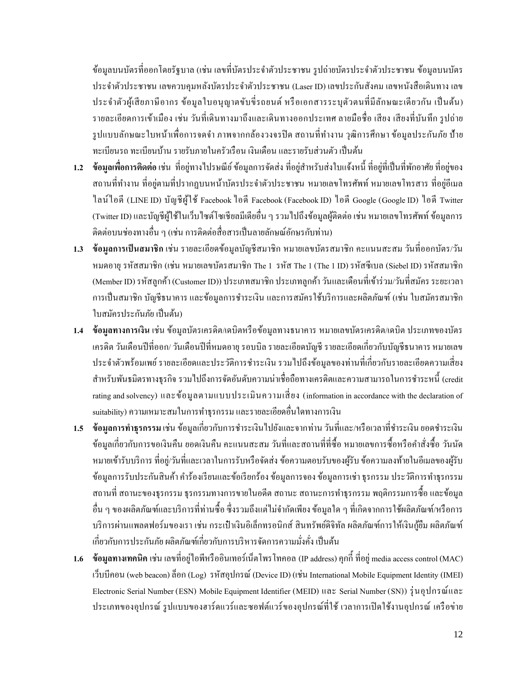ข้อมูลบนบัตรที่ออกโดยรัฐบาล (เช่น เลขที่บัตรประจำตัวประชาชน รูปถ่ายบัตรประจำตัวประชาชน ข้อมูลบนบัตร ประจ าตัวประชาชน เลขควบคุมหลังบัตรประจ าตัวประชาชน (Laser ID) เลขประกันสังคม เลขหนังสือเดินทาง เลข ประจำตัวผู้เสียภาษีอากร ข้อมูลใบอนุญาตขับขี่รถยนต์ หรือเอกสารระบุตัวตนที่มีลักษณะเดียวกัน เป็นต้น) รายละเอียดการเข้าเมือง เช่น วันที่เดินทางมาถึงและเดินทางออกประเทศลายมือชื่อ เสียง เสียงที่บันทึก รูปถ่าย รูปแบบลักษณะใบหน้าเพื่อการจดจำ ภาพจากกล้องวงจรปิด สถานที่ทำงาน วุฒิการศึกษา ข้อมูลประกันภัย ป้าย ทะเบียนรถ ทะเบียนบ้าน รายรับภายในครัวเรือน เงินเดือน และรายรับส่วนตัว เป็นต้น

- 1**.2 ข้อมูลเพื่อการติดต่อ** เช่น ที่อยู่ทางไปรษณีย์ ข้อมูลการจัดส่ง ที่อยู่สำหรับส่งใบแจ้งหนี้ ที่อยู่ที่เป็นที่พักอาศัย ที่อยู่ของ ี สถานที่ทำงาน ที่อยู่ตามที่ปรากฏบนหน้าบัตรประจำตัวประชาชน หมายเลขโทรศัพท์ หมายเลขโทรสาร ที่อยู่อีเมล ไลน์ไอดี (LINE ID) บัญชีผู้ใช้ Facebook ไอดี Facebook (Facebook ID) ไอดี Google (Google ID) ไอดี Twitter (Twitter ID)และบัญชีผู้ใช้ในเว็บไซต์โซเชียลมีเดียอื่น ๆ รวมไปถึงข้อมูลผู้ติดต่อ เช่น หมายเลขโทรศัพท์ ข้อมูลการ ติดต่อบนช่องทางอื่น ๆ (เช่น การติดต่อสื่อสารเป็นลายลักษณ์อักษรกับท่าน)
- **1.3 ข้อมูลการเป็ นสมาชิก** เช่น รายละเอียดข้อมูลบัญชีสมาชิก หมายเลขบัตรสมาชิก คะแนนสะสม วันที่ออกบัตร/วัน หมดอายุ รหัสสมาชิก (เช่น หมายเลขบัตรสมาชิก The 1 รหัส The 1 (The 1 ID) รหัสซีเบล (Siebel ID) รหัสสมาชิก (Member ID)รหัสลูกค้า (Customer ID)) ประเภทสมาชิก ประเภทลูกค้า วันและเดือนที่เข้าร่วม/วันที่สมัคร ระยะเวลา การเป็นสมาชิก บัญชีธนาคาร และข้อมูลการชำระเงิน และการสมัครใช้บริการและผลิตภัณฑ์ (เช่น ใบสมัครสมาชิก ใบสมัครประกันภัย เป็นต้น)
- **1.4 ข้อมูลทางการเงิน** เช่น ข้อมูลบัตรเครดิต/เดบิตหรือข้อมูลทางธนาคาร หมายเลขบัตรเครดิต/เดบิต ประเภทของบัตร เครดิต วันเดือนปี ที่ออก/ วันเดือนปี ที่หมดอายุ รอบบิล รายละเอียดบัญชี รายละเอียดเกี่ยวกับบัญชีธนาคาร หมายเลข ประจำตัวพร้อมเพย์ รายละเอียดและประวัติการชำระเงิน รวมไปถึงข้อมูลของท่านที่เกี่ยวกับรายละเอียดความเสี่ยง ี สำหรับพันธมิตรทางธุรกิจ รวมไปถึงการจัดอันดับความน่าเชื่อถือทางเครดิตและความสามารถในการชำระหนี้ (credit rating and solvency) และข้อมูลตามแบบประเมินความเสี่ ยง (information in accordance with the declaration of suitability) ความเหมาะสมในการทำธุรกรรม และรายละเอียดอื่นใดทางการเงิน
- 1**.5 ข้อมูลการทำธุรกรรม** เช่น ข้อมูลเกี่ยวกับการชำระเงินไปยังและจากท่าน วันที่และ/หรือเวลาที่ชำระเงิน ยอดชำระเงิน ข้อมูลเกี่ยวกับการขอเงินคืน ยอดเงินคืน คะแนนสะสม วันที่และสถานที่ที่ซื้อ หมายเลขการซื้อหรือคำสั่งซื้อ วันนัด หมายเข้ารับบริการ ที่อยู่/วันที่และเวลาในการรับหรือจัดส่งข้อความตอบรับของผู้รับ ข้อความลงท้ายในอีเมลของผู้รับ ข้อมูลการรับประกันสินค้า คำร้องเรียนและข้อเรียกร้อง ข้อมูลการจอง ข้อมูลการเช่า ธุรกรรม ประวัติการทำธุรกรรม ี สถานที่ สถานะของธุรกรรม ธุรกรรมทางการขายในอดีต สถานะ สถานะการทำธุรกรรม พฤติกรรมการซื้อ และข้อมูล อื่น ๆ ของผลิตภัณฑ์และบริการที่ท่านซ้ือ ซึ่งรวมถึงแต่ไม่จ ากัดเพียง ข้อมูลใด ๆ ที่เกิดจากการใช้ผลิตภัณฑ์/หรือการ บริการผ่านแพลตฟอร์มของเรา เช่น กระเป๋ าเงินอิเล็กทรอนิกส์ สินทรัพย์ดิจิทัล ผลิตภัณฑ์การให้เงินกู้ยืม ผลิตภัณฑ์ เกี่ยวกับการประกันภัย ผลิตภัณฑ์เกี่ยวกับการบริหารจัดการความมั่งคั่ง เป็นต้น
- **1.6 ข้อมูลทางเทคนิค** เช่น เลขที่อยู่ไอพีหรืออินเทอร์เน็ตโพรโทคอล (IP address)คุกก้ีที่อยู่ media access control (MAC) เว็บบีคอน (web beacon) ล็อก (Log) รหัสอุปกรณ์(Device ID) (เช่น International Mobile Equipment Identity (IMEI) Electronic Serial Number (ESN) Mobile Equipment Identifier (MEID) และ Serial Number (SN)) รุ่ นอุปกรณ์และ ประเภทของอุปกรณ์ รูปแบบของฮาร์ดแวร์และซอฟต์แวร์ของอุปกรณ์ที่ใช้ เวลาการเปิ ดใช้งานอุปกรณ์ เครือข่าย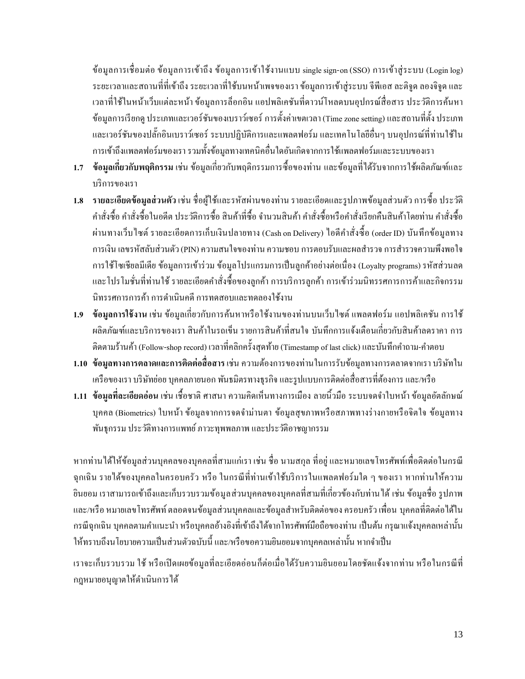ข้อมูลการเชื่อมต่อ ข้อมูลการเข้าถึง ข้อมูลการเข้าใช้งานแบบ single sign-on (SSO) การเข้าสู่ระบบ (Login log) ระยะเวลาและสถานที่ที่เข้าถึง ระยะเวลาที่ใช้บนหน้าเพจของเราข้อมูลการเข้าสู่ระบบ จีพีเอส ละติจูด ลองจิจูด และ เวลาที่ใช้ในหน้าเว็บแต่ละหน้า ข้อมูลการล็อกอิน แอปพลิเคชันที่ดาวน์โหลดบนอุปกรณ์สื่อสาร ประวัติการค้นหา ข้อมูลการเรียกดู ประเภทและเวอร์ชันของเบราว์เซอร์ การต้งัค่าเขตเวลา (Time zone setting) และสถานที่ต้งั ประเภท และเวอร์ชนัของปลกั๊อินเบราว์เซอร์ระบบปฏิบัติการและแพลตฟอร์ม และเทคโนโลยีอื่นๆ บนอุปกรณ์ที่ท่านใช้ใน การเข้าถึงแพลตฟอร์มของเรา รวมทั้งข้อมูลทางเทคนิคอื่นใดอันเกิดจากการใช้แพลตฟอร์มและระบบของเรา

- **1.7 ข้อมูลเกี่ยวกับพฤติกรรม** เช่น ข้อมูลเกี่ยวกับพฤติกรรมการซื้อของท่าน และข้อมูลที่ได้รับจากการใช้ผลิตภัณฑ์และ บริการของเรา
- **1.8 รายละเอียดข้อมูลส่วนตัว**เช่น ชื่อผู้ใช้และรหัสผ่านของท่าน รายละเอียดและรูปภาพข้อมูลส่วนตัวการซ้ือ ประวตัิ คำสั่งซื้อ คำสั่งซื้อในอดีต ประวัติการซื้อ สินค้าที่ซื้อ จำนวนสินค้า คำสั่งซื้อหรือคำสั่งเรียกคืนสินค้าโดยท่าน คำสั่งซื้อ ผ่านทางเว็บไซต์ รายละเอียดการเก็บเงินปลายทาง (Cash on Delivery) ไอดีคา สั่งซ้ือ (order ID) บันทึกข้อมูลทาง การเงิน เลขรหัสลับส่วนตัว (PIN) ความสนใจของท่าน ความชอบ การตอบรับและผลสำรวจ การสำรวจความพึงพอใจ การใช้โซเชียลมีเดีย ข้อมูลการเข้าร่วม ข้อมูลโปรแกรมการเป็นลูกค้าอย่างต่อเนื่อง (Loyalty programs) รหัสส่วนลด และโปรโมชั่นที่ท่านใช้ รายละเอียดคำสั่งซื้อของลูกค้า การบริการลูกค้า การเข้าร่วมนิทรรศการการค้าและกิจกรรม นิทรรศการการค้า การด าเนินคดี การทดสอบและทดลองใช้งาน
- **1.9 ข้อมูลการใช้งาน** เช่น ข้อมูลเกี่ยวกับการค้นหาหรือใช้งานของท่านบนเว็บไซต์ แพลตฟอร์ม แอปพลิเคชัน การใช้ ผลิตภัณฑ์และบริการของเรา สินค้าในรถเข็น รายการสินค้าที่สนใจ บันทึกการแจ้งเตือนเกี่ยวกับสินค้าลดราคา การ ติดตามร้านค้า (Follow-shop record) เวลาที่คลิกครั้งสุดท้าย (Timestamp of last click) และบันทึกคำถาม-คำตอบ
- **1.10 ข้อมูลทางการตลาดและการติดต่อสื่อสาร**เช่น ความต้องการของท่านในการรับข้อมูลทางการตลาดจากเรา บริษัทใน เครือของเรา บริษัทย่อย บุคคลภายนอก พันธมิตรทางธุรกิจและรูปแบบการติดต่อสื่อสารที่ต้องการและ/หรือ
- **1.11 ข้อมูลที่ละเอียดอ่อน** เช่น เช้ือชาติศาสนาความคิดเห็นทางการเมือง ลายนิ้วมือ ระบบจดจ าใบหน้า ข้อมูลอัตลักษณ์ บุคคล (Biometrics) ใบหน้า ข้อมูลจากการจดจำม่านตา ข้อมูลสุขภาพหรือสภาพทางร่างกายหรือจิตใจ ข้อมูลทาง พันธุกรรม ประวัติทางการแพทย์ ภาวะทุพพลภาพ และประวัติอาชญากรรม

หากท่านได้ให้ข้อมูลส่วนบุคคลของบุคคลที่สามแก่เรา เช่น ชื่อ นามสกุล ที่อยู่ และหมายเลขโทรศัพท์เพื่อติดต่อในกรณี ฉุกเฉิน รายได้ของบุคคลในครอบครัว หรือ ในกรณีที่ท่านเข้าใช้บริการในแพลตฟอร์มใด ๆ ของเรา หากท่านให้ความ ยินยอม เราสามารถเข้าถึงและเก็บรวบรวมข้อมูลส่วนบุคคลของบุคคลที่สามที่เกี่ยวข้องกับท่านได้ เช่น ข้อมูลชื่อ รูปภาพ และ/หรือ หมายเลขโทรศัพท์ ตลอดจนข้อมูลส่วนบุคคลและข้อมูลส าหรับติดต่อของ ครอบครัว เพื่อน บุคคลที่ติดต่อได้ใน กรณีฉุกเฉิน บุคคลตามคำแนะนำ หรือบุคคลอ้างอิงที่เข้าถึงได้จากโทรศัพท์มือถือของท่าน เป็นต้น กรุณาแจ้งบุคคลเหล่านั้น ให้ทราบถึงนโยบายความเป็นส่วนตัวฉบับนี้ และ/หรือขอความยินยอมจากบุคคลเหล่านั้น หากจำเป็น

เราจะเก็บรวบรวม ใช้ หรือเปิดเผยข้อมลที่ละเอียดอ่อนก็ต่อเมื่อได้รับความยินยอมโดยชัดแจ้งจากท่าน หรือในกรณีที่ กฎหมายอนุญาตให้ด าเนินการได้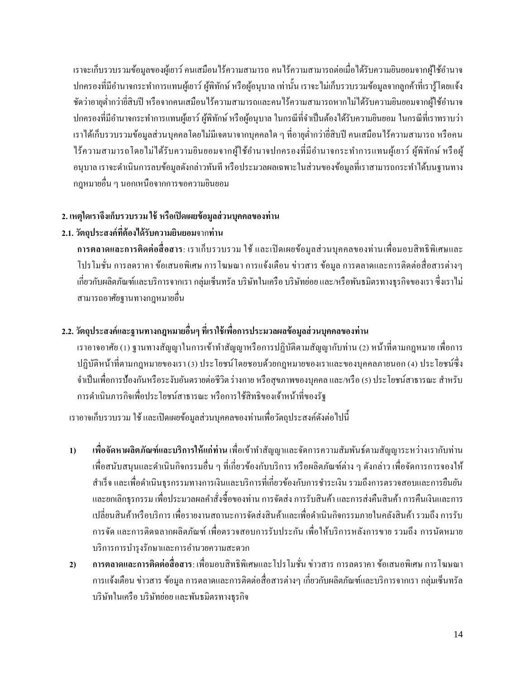เราจะเก็บรวบรวมข้อมูลของผู้เยาว์ คนเสมือนไร้ความสามารถ คนไร้ความสามารถต่อเมื่อได้รับความยินยอมจากผู้ใช้อำนาจ ปกครองที่มีอำนาจกระทำการแทนผู้เยาว์ ผู้พิทักษ์ หรือผู้อนุบาล เท่านั้น เราจะไม่เก็บรวบรวมข้อมูลจากลูกค้าที่เรารู้โดยแจ้ง ชัดว่าอายุต่ำกว่าขี่สิบปี หรือจากคนเสมือนไร้ความสามารถและคนไร้ความสามารถหากไม่ได้รับความยินยอมจากผู้ใช้อำนาจ ปกครองที่มีอำนาจกระทำการแทนผู้เยาว์ ผู้พิทักษ์ หรือผู้อนุบาล ในกรณีที่จำเป็นต้องได้รับความยินยอม ในกรณีที่เราทราบว่า เราได้เก็บรวบรวมข้อมูลส่วนบุคคลโดยไม่มีเจตนาจากบุคคลใด ๆ ที่อายุต่ำกว่ายี่สิบปี คนเสมือนไร้ความสามารถ หรือคน ใร้ความสามารถโดยไม่ได้รับความยินยอมจากผู้ใช้อำนาจปกครองที่มีอำนาจกระทำการแทนผู้เยาว์ ผู้พิทักษ์ หรือผู้ ้อนุบาล เราจะดำเนินการลบข้อมูลดังกล่าวทันที หรือประมวลผลเฉพาะในส่วนของข้อมูลที่เราสามารถกระทำได้บนฐานทาง กฎหมายอื่น ๆ นอกเหนือจากการขอความยินยอม

### **2. เหตุใดเราจึงเก็บรวบรวม ใช้หรือเปิดเผยข้อมูลส่วนบุคคลของท่าน**

## **2.1.วัตถุประสงค์ทต้องได้รับ ี่ ความยินยอม**จาก**ท่าน**

**การตลาดและการติดต่อสื่ อสาร**: เราเก็บรวบรวม ใช้ และเปิ ดเผยข้อมูลส่วนบุคคลของท่านเพื่อมอบสิทธิพิเศษและ โปรโมชั่น การลดราคาข้อเสนอพิเศษ การโฆษณาการแจ้งเตือน ข่าวสาร ข้อมูล การตลาดและการติดต่อสื่อสารต่างๆ เกี่ยวกับผลิตภัณฑ์และบริการจากเรา กลุ่มเซ็นทรัล บริษัทในเครือ บริษัทย่อย และ/หรือพันธมิตรทางธุรกิจของเรา ซึ่งเราไม่ สามารถอาศัยฐานทางกฎหมายอื่น

## **2.2. วัตถุประสงค์และฐานทางกฎหมายอื่นๆ ที่เราใช้เพื่อการประมวลผลข้อมูลส่วนบุคคลของท่าน**

เราอาจอาศัย (1) ฐานทางสัญญาในการเข้าทำสัญญาหรือการปฏิบัติตามสัญญากับท่าน (2) หน้าที่ตามกฎหมาย เพื่อการ ปฏิบัติหน้าที่ตามกฎหมายของเรา (3) ประโยชน์โดยชอบด้วยกฎหมายของเราและของบุคคลภายนอก (4) ประโยชน์ซึ่ง จำเป็นเพื่อการป้องกันหรือระงับอันตรายต่อชีวิต ร่างกาย หรือสุขภาพของบุคคล และ/หรือ (5) ประ โยชน์สาธารณะ สำหรับ การด าเนินภารกิจเพื่อประโยชน์สาธารณะ หรือการใช้สิทธิของเจ้าหน้าที่ของรัฐ

เราอาจเก็บรวบรวม ใช้ และเปิดเผยข้อมูลส่วนบุคคลของท่านเพื่อวัตถุประสงค์ดังต่อไปนี้

- 1) เพื่อจัดหาผลิตภัณฑ์และบริการให้แก่ท่าน เพื่อเข้าทำสัญญาและจัดการความสัมพันธ์ตามสัญญาระหว่างเรากับท่าน เพื่อสนับสนุนและด าเนินกิจกรรมอื่น ๆ ที่เกี่ยวข้องกับบริการ หรือผลิตภัณฑ์ต่าง ๆ ดังกล่าว เพื่อจัดการการจองให้ สำเร็จ และเพื่อคำเนินธุรกรรมทางการเงินและบริการที่เกี่ยวข้องกับการชำระเงิน รวมถึงการตรวจสอบและการยืนยัน และยกเลิกธุรกรรม เพื่อประมวลผลคา สั่งซ้ือของท่าน การจัดส่งการรับสินค้า และการส่งคืนสินค้า การคืนเงินและการ เปลี่ยนสินค้าหรือบริการ เพื่อรายงานสถานะการจัดส่งสินค้าและเพื่อด าเนินกิจกรรมภายในคลังสินค้า รวมถึง การรับ การจัด และการติดฉลากผลิตภัณฑ์ เพื่อตรวจสอบการรับประกัน เพื่อให้บริการหลังการขาย รวมถึง การนัดหมาย บริการการบำรุงรักษาและการอำนวยความสะดวก
- **2) การตลาดและการติดต่อสื่อสาร**: เพื่อมอบสิทธิพิเศษและโปรโมชนั่ ข่าวสารการลดราคาขอ้ เสนอพิเศษ การโฆษณา การแจ้งเตือน ข่าวสาร ข้อมูล การตลาดและการติดต่อสื่อสารต่างๆ เกี่ยวกับผลิตภัณฑ์และบริการจากเรา กลุ่มเซ็นทรัล บริษัทในเครือ บริษัทย่อย และพันธมิตรทางธุรกิจ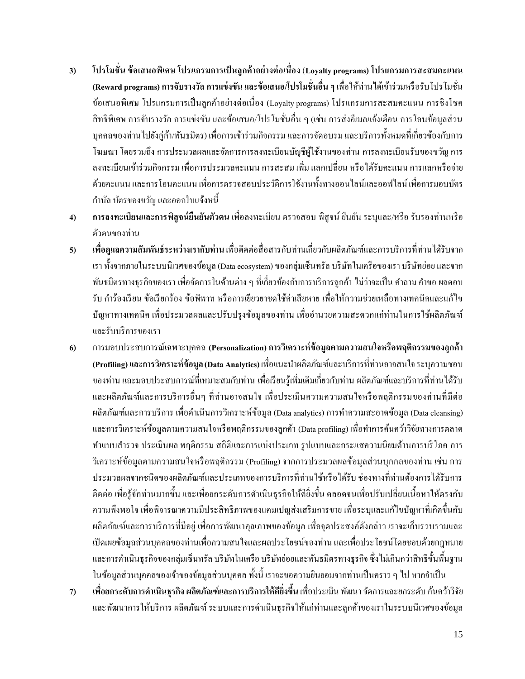- **3) โปรโมชั่น ข้อเสนอพิเศษ โปรแกรมการเป็นลูกค้าอย่างต่อเนื่อง** (**Loyalty programs) โปรแกรมการสะสมคะแนน (Reward programs) การจับรางวัล การแข่งขัน และข้อเสนอ/โปรโมชั่นอื่น ๆ**เพื่อให้ท่านได้เข้าร่วมหรือรับโปรโมชนั่ ข้อเสนอพิเศษ โปรแกรมการเป็นลูกค้าอย่างต่อเนื่อง (Loyalty programs) โปรแกรมการสะสมคะแนน การชิงโชค สิทธิพิเศษ การจับรางวัล การแข่งขัน และข้อเสนอ/โปรโมชั่นอื่น ๆ (เช่น การส่งอีเมลแจ้งเตือน การโอนข้อมูลส่วน บุคคลของท่านไปยังคู่ค้า/พันธมิตร) เพื่อการเข้าร่วมกิจกรรม และการจัดอบรม และบริการท้งัหมดที่เกี่ยวขอ้งกบัการ โฆษณาโดยรวมถึง การประมวลผลและจัดการการลงทะเบียนบัญชีผู้ใช้งานของท่าน การลงทะเบียนรับของขวัญ การ ลงทะเบียนเข้าร่วมกิจกรรม เพื่อการประมวลคะแนน การสะสม เพิ่ม แลกเปลี่ยน หรือได้รับคะแนน การแลกหรือจ่าย ด้วยคะแนน และการโอนคะแนน เพื่อการตรวจสอบประวตัิการใชง้านท้งัทางออนไลน์และออฟไลน์เพื่อการมอบบัตร กา นลั บตัรของขวญั และออกใบแจง้หน้ี
- **4) การลงทะเบียนและการพิสูจน์ยืนยันตัวตน** เพื่อลงทะเบียน ตรวจสอบ พิสูจน์ ยืนยัน ระบุและ/หรือ รับรองท่านหรือ ตัวตนของท่าน
- **5) เพื่อดูแลความสัมพนัธ์ระหว่างเรากับท่าน** เพื่อติดต่อสื่อสารกับท่านเกี่ยวกับผลิตภัณฑ์และการบริการที่ท่านได้รับจาก เรา ท้งัจากภายในระบบนิเวศของข้อมูล (Data ecosystem) ของกลุ่มเซ็นทรัล บริษัทในเครือของเรา บริษัทย่อย และจาก พันธมิตรทางธุรกิจของเรา เพื่อจัดการในด้านต่าง ๆ ที่เกี่ยวข้องกับการบริการลูกค้า ไม่ว่าจะเป็น คำถาม คำขอ ผลตอบ รับ ค าร้องเรียน ข้อเรียกร้อง ข้อพิพาท หรือการเยียวยาชดใช้ค่าเสียหาย เพื่อให้ความช่วยเหลือทางเทคนิคและแก้ไข ปัญหาทางเทคนิค เพื่อประมวลผลและปรับปรุงข้อมูลของท่าน เพื่ออำนวยความสะดวกแก่ท่านในการใช้ผลิตภัณฑ์ และรับบริการของเรา
- **6)** การมอบประสบการณ์เฉพาะบุคคล **(Personalization)การวิเคราะห์ข้อมูลตามความสนใจหรือพฤติกรรมของลูกค้า (Profiling) และการวิเคราะห์ข้อมูล(Data Analytics)** เพื่อแนะน าผลิตภัณฑ์และบริการที่ท่านอาจสนใจ ระบุความชอบ ึ ของท่าน และมอบประสบการณ์ที่เหมาะสมกับท่าน เพื่อเรียนรู้เพิ่มเติมเกี่ยวกับท่าน ผลิตภัณฑ์และบริการที่ท่านได้รับ และผลิตภัณฑ์และการบริการอื่นๆ ที่ท่านอาจสนใจ เพื่อประเมินความความสนใจหรือพฤติกรรมของท่านที่มีต่อ ผลิตภัณฑ์และการบริการ เพื่อดำเนินการวิเคราะห์ข้อมูล (Data analytics) การทำความสะอาดข้อมูล (Data cleansing) และการวิเคราะห์ข้อมูลตามความสนใจหรือพฤติกรรมของลูกค้า (Data profiling) เพื่อทำการค้นคว้าวิจัยทางการตลาด ท าแบบส ารวจ ประเมินผล พฤติกรรม สถิติและการแบ่งประเภท รูปแบบและกระแสความนิยมด้านการบริโภค การ วิเคราะห์ข้อมูลตามความสนใจหรือพฤติกรรม (Profiling) จากการประมวลผลข้อมูลส่วนบุคคลของท่าน เช่น การ ประมวลผลจากชนิดของผลิตภัณฑ์และประเภทของการบริการที่ท่านใช้หรือได้รับ ช่องทางที่ท่านต้องการได้รับการ ติดต่อ เพื่อรู้จักท่านมากขึ้น และเพื่อยกระดับการดำเนินธุรกิจให้ดียิ่งขึ้น ตลอดจนเพื่อปรับเปลี่ยนเนื้อหาให้ตรงกับ ความพึงพอใจ เพื่อพิจารณาความมีประสิทธิภาพของแคมเปญส่งเสริมการขาย เพื่อระบุและแกไ้ขปัญหาที่เกิดข้ึนกบั ผลิตภัณฑ์และการบริการที่มีอยู่ เพื่อการพัฒนาคุณภาพของข้อมูล เพื่อจุดประสงค์ดังกล่าว เราจะเก็บรวบรวมและ เปิ ดเผยข้อมูลส่วนบุคคลของท่านเพื่อความสนใจและผลประโยชน์ของท่าน และเพื่อประโยชน์โดยชอบด้วยกฎหมาย และการดำเนินธุรกิจของกลุ่มเซ็นทรัล บริษัทในเครือ บริษัทย่อยและพันธมิตรทางธุรกิจ ซึ่งไม่เกินกว่าสิทธิขั้นพื้นฐาน ในข้อมูลส่วนบุคคลของเจ้าของข้อมูลส่วนบุคคล ทั้งนี้ เราจะขอความยินยอมจากท่านเป็นคราว ๆ ไป หากจำเป็น
- **7) เพื่อยกระดับการด าเนินธุรกิจ ผลิตภัณฑ์และการบริการให้ดียิ่งขึ้น** เพื่อประเมิน พัฒนา จัดการและยกระดับ ค้นคว้าวิจัย และพัฒนาการให้บริการ ผลิตภัณฑ์ ระบบและการคำเนินธุรกิจให้แก่ท่านและลูกค้าของเราในระบบนิเวศของข้อมูล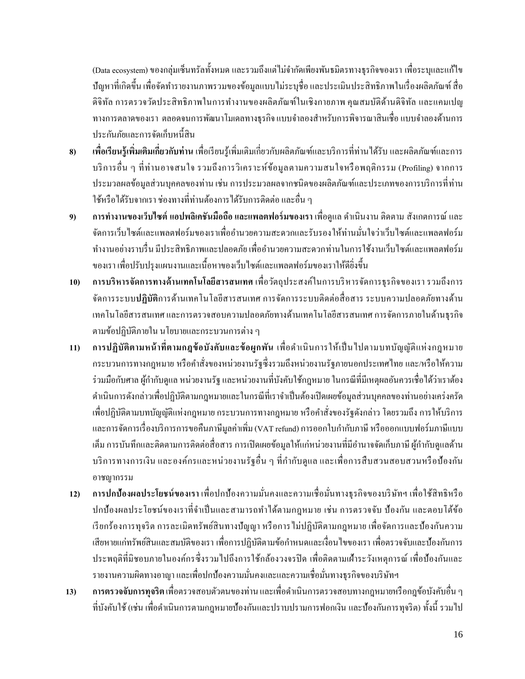(Data ecosystem) ของกลุ่มเซ็นทรัลท้งัหมด และรวมถึงแต่ไม่จ ากัดเพียงพันธมิตรทางธุรกิจของเรา เพื่อระบุและแก้ไข ปัญหาที่เกิดขึ้น เพื่อจัดทำรายงานภาพรวมของข้อมูลแบบไม่ระบุชื่อ และประเมินประสิทธิภาพในเรื่องผลิตภัณฑ์ สื่อ ดิจิทัล การตรวจวัดประสิทธิภาพในการทำงานของผลิตภัณฑ์ในเชิงกายภาพ คุณสมบัติด้านดิจิทัล และแคมเปญ ทางการตลาดของเรา ตลอดจนการพัฒนาโมเดลทางธุรกิจ แบบจำลองสำหรับการพิจารณาสินเชื่อ แบบจำลองด้านการ ประกนั ภยัและการจดัเก็บหน้ีสิน

- **8) เพื่อเรียนรู้เพิ่มเติมเกี่ยวกับท่าน** เพื่อเรียนรู้เพิ่มเติมเกี่ยวกบัผลิตภณั ฑ์และบริการที่ท่านได้รับ และผลิตภัณฑ์และการ บริการอื่น ๆ ที่ท่านอาจสนใจ รวมถึงการวิเคราะห์ข้อมูลตามความสนใจหรือพฤติกรรม (Profiling) จากการ ประมวลผลข้อมูลส่วนบุคคลของท่าน เช่น การประมวลผลจากชนิดของผลิตภัณฑ์และประเภทของการบริการที่ท่าน ใช้หรือได้รับจากเรา ช่องทางที่ท่านต้องการได้รับการติดต่อ และอื่น ๆ
- **9) การท างานของเว็บไซต์แอปพลิเคชันมือถือ และแพลตฟอร์มของเรา** เพื่อดูแล ด าเนินงาน ติดตาม สังเกตการณ์และ จัดการเว็บไซต์และแพลตฟอร์มของเราเพื่ออำนวยความสะดวกและรับรองให้ท่านมั่นใจว่าเว็บไซต์และแพลตฟอร์ม ท างานอย่างราบรื่น มีประสิทธิภาพและปลอดภัย เพื่ออ านวยความสะดวกท่านในการใช้งานเว็บไซต์และแพลตฟอร์ม ของเรา เพื่อปรับปรุงแผนงานและเน้ือหาของเวบ็ ไซตแ์ละแพลตฟอร์มของเราให้ดียิ่งข้ึน
- **10) การบริหารจัดการทางด้านเทคโนโลยีสารสนเทศ** เพื่อวัตถุประสงค์ในการบริหารจัดการธุรกิจของเรา รวมถึงการ จัดการระบบ**ปฏิบัติ**การด้านเทคโนโลยีสารสนเทศ การจัดการระบบติดต่อสื่อสาร ระบบความปลอดภัยทางด้าน เทคโนโลยีสารสนเทศและการตรวจสอบความปลอดภัยทางด้านเทคโนโลยีสารสนเทศการจัดการภายในด้านธุรกิจ ตามข้อปฏิบัติภายใน นโยบายและกระบวนการต่าง ๆ
- **11) การปฏิบัติตามหน้ าที่ตามกฎข้อบังคับและข้อผูกพัน** เพื่อด าเนินการให้เป็ นไปตามบทบัญญัติแห่งกฎหมาย กระบวนการทางกฎหมาย หรือคา สั่งของหน่วยงานรัฐซ่ึงรวมถึงหน่วยงานรัฐภายนอกประเทศไทย และ/หรือให้ความ ร่วมมือกับศาล ผู้กำกับดูแล หน่วยงานรัฐ และหน่วยงานที่บังคับใช้กฎหมาย ในกรณีที่มีเหตุผลอันควรเชื่อได้ว่าเราต้อง ด าเนินการดังกล่าวเพื่อปฏิบัติตามกฎหมายและในกรณีที่เราจ าเป็ นต้องเปิ ดเผยข้อมูลส่วนบุคคลของท่านอย่างเคร่งครัด เพื่อปฏิบัติตามบทบัญญัติแห่งกฎหมาย กระบวนการทางกฎหมาย หรือคา สั่งของรัฐดังกล่าว โดยรวมถึงการให้บริการ และการจัดการเรื่องบริการการขอคืนภาษีมูลค่าเพิ่ม (VAT refund) การออกใบกำกับภาษี หรือออกแบบฟอร์มภาษีแบบ เต็ม การบันทึกและติดตามการติดต่อสื่อสาร การเปิดเผยข้อมูลให้แก่หน่วยงานที่มีอำนาจจัดเก็บภาษี ผู้กำกับดูแลด้าน บริการทางการเงิน และองค์กรและหน่วยงานรัฐอื่น ๆ ที่กำกับดูแล และเพื่อการสืบสวนสอบสวนหรือป้องกัน อาชญากรรม
- **12) การปกป้องผลประโยชน์ของเรา** เพื่อปกป้องความมนั่ คงและความเชื่อมนั่ ทางธุรกิจของบริษัทฯ เพื่อใช้สิทธิหรือ ปกป้องผลประโยชน์ของเราที่จำเป็นและสามารถทำได้ตามกฎหมาย เช่น การตรวจจับ ป้องกัน และตอบโต้ข้อ เรียกร้องการทุจริต การละเมิดทรัพย์สินทางปัญญา หรือการไม่ปฏิบัติตามกฎหมาย เพื่อจัดการและป้องกันความ เสียหายแก่ทรัพย์สินและสมบัติของเรา เพื่อการปฏิบัติตามข้อกำหนดและเงื่อน ไขของเรา เพื่อตรวจจับและป้องกันการ ประพฤติที่มิชอบภายในองค์กรซึ่งรวมไปถึงการใช้กล้องวงจรปิด เพื่อติดตามเฝ้าระวังเหตุการณ์ เพื่อป้องกันและ รายงานความผิดทางอาญา และเพื่อปกป้องความมั่นคงและและความเชื่อมั่นทางธุรกิจของบริษัทฯ
- **13) การตรวจจับการทุจริต** เพื่อตรวจสอบตัวตนของท่าน และเพื่อด าเนินการตรวจสอบทางกฎหมายหรือกฎข้อบังคับอื่น ๆ ที่บังคับใช้ (เช่น เพื่อดำเนินการตามกฎหมายป้องกันและปราบปรามการฟอกเงิน และป้องกันการทุจริต) ทั้งนี้ รวมไป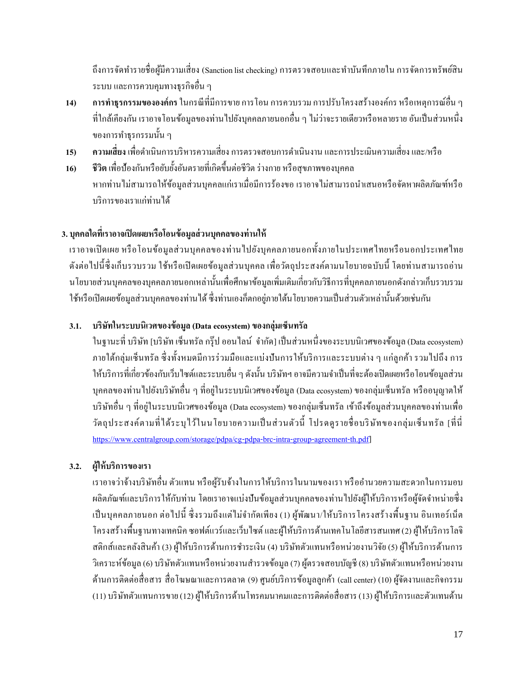ถึงการจัดทำรายชื่อผู้มีความเสี่ยง (Sanction list checking) การตรวจสอบและทำบันทึกภายใน การจัดการทรัพย์สิน ระบบ และการควบคุมทางธุรกิจอื่น ๆ

- **14) การท าธุรกรรมขององค์กร**ในกรณีที่มีการขาย การโอน การควบรวม การปรับโครงสร้างองค์กร หรือเหตุการณ์อื่น ๆ ที่ใกล้เคียงกัน เราอาจโอนข้อมูลของท่านไปยังบุคคลภายนอกอื่น ๆ ไม่ว่าจะรายเดียวหรือหลายราย อันเป็นส่วนหนึ่ง ของการทำธุรกรรมนั้น ๆ
- **15) ความเสี่ยง** เพื่อดำเนินการบริหารความเสี่ยง การตรวจสอบการดำเนินงาน และการประเมินความเสี่ยง และ/หรือ
- **16) ชีวิต** เพื่อป้องกันหรือยับย้งัอนั ตรายที่เกิดข้ึนต่อชีวิต ร่างกาย หรือสุขภาพของบุคคล หากท่านไม่สามารถให้ข้อมูลส่วนบุคคลแก่เราเมื่อมีการร้องขอ เราอาจไม่สามารถนำเสนอหรือจัดหาผลิตภัณฑ์หรือ บริการของเราแก่ท่านได้

## **3. บุคคลใดทเรา ี่ อาจเปิดเผยหรือโอนข้อมูลส่วนบุคคลของท่านให้**

เราอาจเปิ ดเผย หรื อโอนข้อมูลส่วนบุคคลของท่านไปยังบุคคลภายนอกท้ังภายในประเทศไทยหรื อนอกประเทศไทย ดังต่อไปนี้ซึ่งเก็บรวบรวม ใช้หรือเปิดเผยข้อมูลส่วนบุคคล เพื่อวัตถุประสงค์ตามนโยบายฉบับนี้ โดยท่านสามารถอ่าน นโยบายส่วนบุคคลของบุคคลภายนอกเหล่าน้นั เพื่อศึกษาขอ้ มูลเพิ่มเติมเกี่ยวกับวิธีการที่บุคคลภายนอกดังกล่าวเก็บรวบรวม ใช้หรือเปิดเผยข้อมูลส่วนบุคคลของท่านได้ ซึ่งท่านเองก็ตกอยู่ภายใต้นโยบายความเป็นส่วนตัวเหล่านั้นด้วยเช่นกัน

### **3.1. บริษัทในระบบนิเวศของข้อมูล(Data ecosystem) ของกลุ่มเซ็นทรัล**

ในฐานะที่ บริษัท [บริษัท เซ็นทรัล กร๊ป ออนไลน์ จำกัด] เป็นส่วนหนึ่งของระบบนิเวศของข้อมล (Data ecosystem) ภายใต้กลุ่มเซ็นทรัล ซึ่ งท้ังหมดมีการร่วมมือและแบ่งปันการให้บริการและระบบต่าง ๆ แก่ลูกค้า รวมไปถึง การ ให้บริการที่เกี่ยวข้องกับเว็บไซต์และระบบอื่น ๆ ดังนั้น บริษัทฯ อาจมีความจำเป็นที่จะต้องเปิดเผยหรือโอนข้อมูลส่วน บุคคลของท่านไปยังบริษัทอื่น ๆ ที่อยู่ในระบบนิเวศของข้อมูล (Data ecosystem) ของกลุ่มเซ็นทรัล หรืออนุญาตให้ บริษัทอื่น ๆ ที่อย่ในระบบนิเวศของข้อมล (Data ecosystem) ของกลุ่มเซ็นทรัล เข้าถึงข้อมูลส่วนบุคคลของท่านเพื่อ วัตถุประสงค์ตามที่ได้ระบไว้ในนโยบายความเป็นส่วนตัวนี้ โปรดดุรายชื่อบริษัทของกลุ่มเซ็นทรัล [ที่นี่ <https://www.centralgroup.com/storage/pdpa/cg-pdpa-brc-intra-group-agreement-th.pdf>]

### **3.2. ผู้ให้บริการของเรา**

เราอาจว่าจ้างบริษัทอื่น ตัวแทน หรือผู้รับจ้างในการให้บริการในนามของเรา หรืออำนวยความสะดวกในการมอบ ผลิตภัณฑ์และบริการให้กับท่าน โดยเราอาจแบ่งปันข้อมูลส่วนบุคคลของท่านไปยังผู้ให้บริการหรือผู้จัดจำหน่ายซึ่ง เป็นบุคคลภายนอก ต่อไปนี้ ซึ่งรวมถึงแต่ไม่จำกัดเพียง (1) ผู้พัฒนา/ให้บริการโครงสร้างพื้นฐาน อินเทอร์เน็ต โครงสร้างพ้ืนฐานทางเทคนิค ซอฟต์แวร์และเว็บไซต์ และผู้ให้บริการด้านเทคโนโลยีสารสนเทศ (2) ผู้ให้บริการโลจิ สติกส์และคลังสินค้า (3) ผู้ให้บริการด้านการชำระเงิน (4) บริษัทตัวแทนหรือหน่วยงานวิจัย (5) ผู้ให้บริการด้านการ วิเคราะห์ข้อมูล (6) บริษัทตัวแทนหรือหน่วยงานสำรวจข้อมูล (7) ผู้ตรวจสอบบัญชี (8) บริษัทตัวแทนหรือหน่วยงาน ด้านการติดต่อสื่อสาร สื่อโฆษณาและการตลาด (9) ศูนย์บริการข้อมูลลูกค้า (call center) (10) ผู้จัดงานและกิจกรรม (11) บริษัทตัวแทนการขาย (12) ผู้ให้บริการด้านโทรคมนาคมและการติดต่อสื่อสาร (13) ผู้ให้บริการและตัวแทนด้าน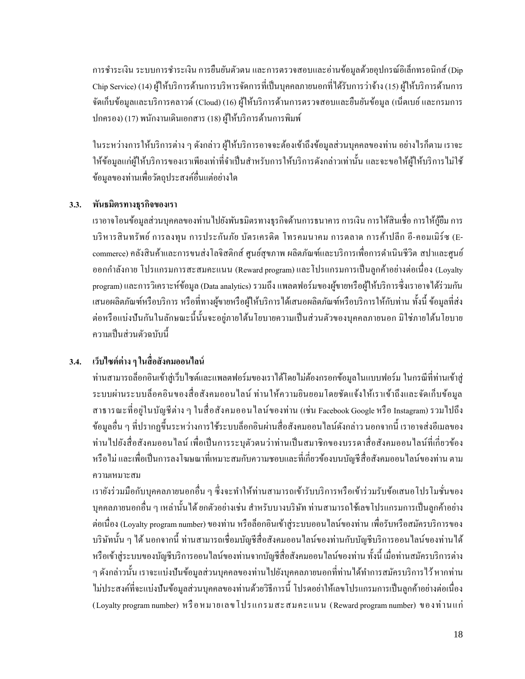การชำระเงิน ระบบการชำระเงิน การขืนยันตัวตน และการตรวจสอบและอ่านข้อมูลด้วยอุปกรณ์อิเล็กทรอนิกส์ (Dip Chip Service) (14) ผู้ให้บริการด้านการบริหารจัดการที่เป็นบุคคลภายนอกที่ได้รับการว่าจ้าง (15) ผู้ให้บริการด้านการ จัดเก็บข้อมูลและบริการคลาวด์ (Cloud) (16) ผู้ให้บริการด้านการตรวจสอบและยืนยันข้อมูล (เน็ตเบย์ และกรมการ ปกครอง) (17) พนักงานเดินเอกสาร(18) ผู้ให้บริการด้านการพิมพ์

ในระหว่างการให้บริการต่าง ๆ ดังกล่าว ผู้ให้บริการอาจจะต้องเข้าถึงข้อมูลส่วนบุคคลของท่าน อย่างไรก็ตาม เราจะ ให้ข้อมูลแก่ผู้ให้บริการของเราเพียงเท่าที่จำเป็นสำหรับการให้บริการดังกล่าวเท่านั้น และจะขอให้ผู้ให้บริการไม่ใช้ ข้อมูลของท่านเพื่อวัตถุประสงค์อื่นแต่อย่างใด

### **3.3. พนัธมิตรทางธุรกิจของเรา**

เราอาจโอนข้อมูลส่วนบุคคลของท่านไปยังพันธมิตรทางธุรกิจด้านการธนาคารการเงิน การให้สินเชื่อการให้กู้ยืม การ บริ หารสินทรัพย์ การลงทุน การประกันภัย บัตรเครดิต โทรคมนาคม การตลาด การค้าปลีก อี-คอมเมิร์ซ (Ecommerce) คลังสินค้าและการขนส่งโลจิสติกส์ ศูนย์สุขภาพ ผลิตภัณฑ์และบริการเพื่อการคำเนินชีวิต สปาและศูนย์ ออกก าลังกาย โปรแกรมการสะสมคะแนน (Reward program) และโปรแกรมการเป็ นลูกค้าอย่างต่อเนื่อง (Loyalty program)และการวิเคราะห์ข้อมูล (Data analytics) รวมถึงแพลตฟอร์มของผู้ขายหรือผู้ให้บริการซึ่งเราอาจได้ร่วมกัน เสนอผลิตภัณฑ์หรือบริการ หรือที่ทางผู้ขายหรือผู้ให้บริการได้เสนอผลิตภัณฑ์หรือบริการให้กับท่าน ท้งัน้ีข้อมูลที่ส่ง ต่อหรือแบ่งปันกันในลักษณะนี้นั้นจะอยู่ภายใต้นโยบายความเป็นส่วนตัวของบุคคลภายนอก มิใช่ภายใต้นโยบาย คาาบเป็นส่าบต้าจบับบี้

## **3.4. เว็บไซต์ต่างๆ ในสื่อสังคมออนไลน์**

ท่านสามารถล็อกอินเข้าสู่เว็บไซต์และแพลตฟอร์มของเราได้โดยไม่ต้องกรอกข้อมูลในแบบฟอร์ม ในกรณีที่ท่านเข้าสู่ ระบบผ่านระบบล็อคอินของสื่อสังคมออนไลน์ท่านให้ความยินยอมโดยชัดแจ้งให้เราเข้าถึงและจัดเก็บข้อมูล สาธารณะที่อยู่ในบัญชีต่าง ๆ ในสื่อสังคมออนไลน์ของท่าน (เช่น Facebook Google หรือ Instagram) รวมไปถึง ข้อมูลอื่น ๆ ที่ปรากฏขึ้นระหว่างการใช้ระบบล็อกอินผ่านสื่อสังคมออนไลน์ดังกล่าว นอกจากนี้ เราอาจส่งอีเมลของ ท่านไปยังสื่อสังคมออนไลน์ เพื่อเป็นการระบุตัวตนว่าท่านเป็นสมาชิกของบรรดาสื่อสังคมออนไลน์ที่เกี่ยวข้อง หรือ ไม่ และเพื่อเป็นการลงโฆษณาที่เหมาะสมกับความชอบและที่เกี่ยวข้องบนบัญชีสื่อสังคมออน ไลน์ของท่าน ตาม ความเหมาะสม

เรายังร่วมมือกับบุคคลภายนอกอื่น ๆ ซึ่งจะทำให้ท่านสามารถเข้ารับบริการหรือเข้าร่วมรับข้อเสนอ โปร โมชั่นของ บุคคลภายนอกอื่น ๆ เหล่านั้นได้ ยกตัวอย่างเช่น สำหรับบางบริษัท ท่านสามารถใช้เลขโปรแกรมการเป็นลูกค้าอย่าง ต่อเนื่อง (Loyalty program number)ของท่าน หรือล็อกอินเข้าสู่ระบบออนไลน์ของท่าน เพื่อรับหรือสมัครบริการของ บริษัทนั้น ๆ ได้ นอกจากนี้ ท่านสามารถเชื่อมบัญชีสื่อสังคมออนไลน์ของท่านกับบัญชีบริการออนไลน์ของท่านได้ หรือเข้าสู่ระบบของบัญชีบริการออนไลน์ของท่านจากบัญชีสื่อสังคมออนไลน์ของท่าน ท้งัน้ีเมื่อท่านสมัครบริการต่าง ๆ ดังกล่าวนั้น เราจะแบ่งปันข้อมูลส่วนบุคคลของท่านไปยังบุคคลภายนอกที่ท่านได้ทำการสมัครบริการไว้ หากท่าน ้ไม่ประสงค์ที่จะแบ่งปันข้อมูลส่วนบุคคลของท่านด้วยวิธีการนี้ โปรดอย่าให้เลขโปรแกรมการเป็นลูกค้าอย่างต่อเนื่อง (Loyalty program number) หรื อหมายเลขโปรแกรมสะสมคะแนน (Reward program number) ของท่านแก่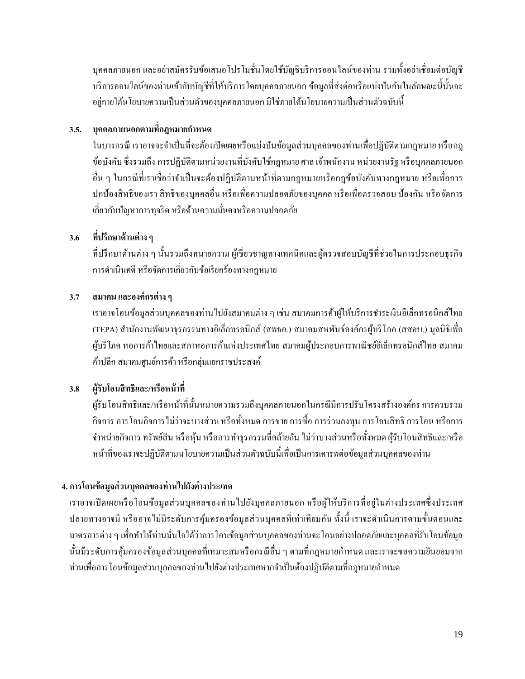บุคคลภายนอก และอย่าสมัครรับข้อเสนอ โปร โมชั่น โดยใช้บัญชีบริการออน ใลน์ของท่าน รวมทั้งอย่าเชื่อมต่อบัญชี ้บริการออนไลน์ของท่านเข้ากับบัญชีที่ให้บริการโดยบุคคลภายนอก ข้อมูลที่ส่งต่อหรือแบ่งปันกันในลักษณะนี้นั้นจะ ้อยู่ภายใต้นโยบายความเป็นส่วนตัวของบุคคลภายนอก มิใช่ภายใต้นโยบายความเป็นส่วนตัวฉบับนี้

## **3.5. บุคคลภายนอกตามที่กฎหมายก าหนด**

ในบางกรณี เราอาจจะจ าเป็ นที่จะต้องเปิ ดเผยหรือแบ่งปันข้อมูลส่วนบุคคลของท่านเพื่อปฏิบัติตามกฎหมาย หรือกฎ ข้อบังคับ ซึ่งรวมถึงการปฏิบัติตามหน่วยงานที่บังคับใช้กฎหมาย ศาล เจ้าพนักงาน หน่วยงานรัฐ หรือบุคคลภายนอก อื่น ๆ ในกรณีที่เราเชื่อว่าจำเป็นจะต้องปฏิบัติตามหน้าที่ตามกฎหมายหรือกฎข้อบังคับทางกฎหมาย หรือเพื่อการ ปกป้องสิทธิของเรา สิทธิของบุคคลอื่น หรือเพื่อความปลอดภัยของบุคคล หรือเพื่อตรวจสอบ ป้องกัน หรือจัดการ เกี่ยวกับปัญหาการทุจริต หรือด้านความมนั่ คงหรือความปลอดภัย

## **3.6 ที่ปรึกษาด้านต่างๆ**

ที่ปรึกษาด้านต่าง ๆ น้ันรวมถึงทนายความ ผู้เชี่ยวชาญทางเทคนิคและผู้ตรวจสอบบัญชีที่ช่วยในการประกอบธุรกิจ การคำเนินคดี หรือจัดการเกี่ยวกับข้อเรียกร้องทางกฎหมาย

### **3.7 สมาคม และองค์กรต่างๆ**

เราอาจโอนข้อมูลส่วนบุคคลของท่านไปยังสมาคมต่าง ๆ เช่น สมาคมการค้าผู้ให้บริการชำระเงินอิเล็กทรอนิกส์ไทย (TEPA) ส านักงานพัฒนาธุรกรรมทางอิเล็กทรอนิกส์ (สพธอ.) สมาคมสหพันธ์องค์กรผู้บริโภค (สสอบ.) มูลนิธิเพื่อ ผู้บริโภค หอการค้าไทยและสภาหอการค้าแห่งประเทศไทย สมาคมผู้ประกอบการพาณิชย์อิเล็กทรอนิกส์ไทย สมาคม ค้าปลีก สมาคมศูนย์การค้า หรือกลุ่มแยกราชประสงค์

## **3.8 ผู้รับโอนสิทธิและ/หรือหน้าที่**

ผู้รับโอนสิทธิและ/หรือหน้าที่นั้นหมายความรวมถึงบุคคลภายนอกในกรณีมีการปรับโครงสร้างองค์กร การควบรวม กิจการการโอนกิจการไม่ว่าจะบางส่วน หรือท้งัหมด การขายการซ้ือการร่วมลงทุน การโอนสิทธิการโอน หรือการ จำหน่ายกิจการ ทรัพย์สิน หรือหุ้น หรือการทำธุรกรรมที่คล้ายกัน ไม่ว่าบางส่วนหรือทั้งหมด ผู้รับโอนสิทธิและ/หรือ หน้าที่ของเราจะปฏิบัติตามนโยบายความเป็นส่วนตัวฉบับนี้เพื่อเป็นการเคารพต่อข้อมูลส่วนบุคคลของท่าน

### **4. การโอนข้อมูลส่วนบุคคลของท่านไปยังต่างประเทศ**

เราอาจเปิ ดเผยหรือโอนข้อมูลส่วนบุคคลของท่านไปยังบุคคลภายนอก หรือผู้ให้บริการที่อยู่ในต่างประเทศซึ่ งประเทศ ปลายทางอาจมี หรืออาจไม่มีระดับการคุ้มครองข้อมูลส่วนบุคคลที่เท่าเทียมกัน ทั้งนี้ เราจะดำเนินการตามขั้นตอนและ มาตรการต่าง ๆ เพื่อทำให้ท่านมั่นใจได้ว่าการโอนข้อมูลส่วนบุคคลของท่านจะโอนอย่างปลอดภัยและบุคคลที่รับโอนข้อมูล นั้นมีระดับการคุ้มครองข้อมูลส่วนบุคคลที่เหมาะสมหรือกรณีอื่น ๆ ตามที่กฎหมายกำหนด และเราจะขอความยินยอมจาก ท่านเพื่อการโอนข้อมูลส่วนบุคคลของท่านไปยังต่างประเทศหากจำเป็นต้องปฏิบัติตามที่กฎหมายกำหนด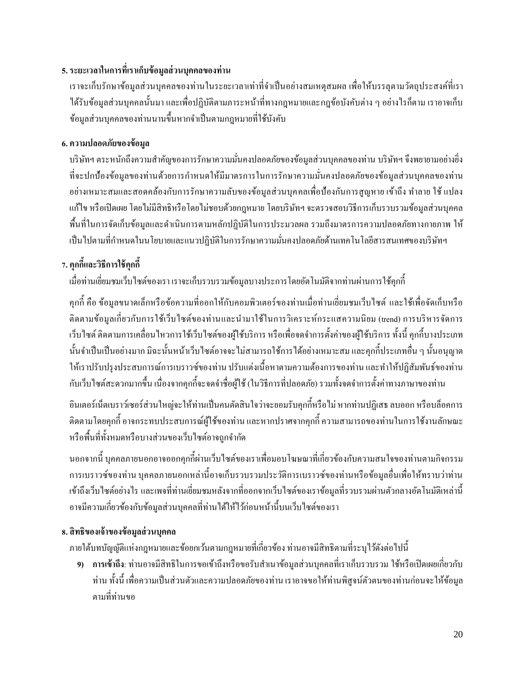## **5. ระยะเวลาในการที่เราเก็บข้อมูลส่วนบุคคลของท่าน**

เราจะเก็บรักษาข้อมูลส่วนบุคคลของท่านในระยะเวลาเท่าที่จำเป็นอย่างสมเหตุสมผล เพื่อให้บรรลุตามวัตถุประสงค์ที่เรา ได้รับข้อมูลส่วนบุคคลนั้นมา และเพื่อปฏิบัติตามภาระหน้าที่ทางกฎหมายและกฎข้อบังคับต่าง ๆ อย่างไรก็ตาม เราอาจเก็บ ข้อมูลส่วนบุคคลของท่านนานข้ึนหากจา เป็นตามกฎหมายที่ใช้บังคับ

## **6. ความปลอดภัยของข้อมลู**

บริษัทฯ ตระหนักถึงความสำคัญของการรักษาความมั่นคงปลอดภัยของข้อมูลส่วนบุคคลของท่าน บริษัทฯ จึงพยายามอย่างยิ่ง ที่จะปกป้องข้อมูลของท่านด้วยการกำหนดให้มีมาตรการในการรักษาความมั่นคงปลอดภัยของข้อมูลส่วนบุคคลของท่าน ้อย่างเหมาะสมและสอดคล้องกับการรักษาความลับของข้อมูลส่วนบุคคลเพื่อป้องกันการสูญหาย เข้าถึง ทำลาย ใช้ แปลง แก้ไข หรือเปิ ดเผย โดยไม่มีสิทธิหรือโดยไม่ชอบด้วยกฎหมาย โดยบริษัทฯ จะตรวจสอบวิธีการเก็บรวบรวมข้อมูลส่วนบุคคล พ้ืนที่ในการจดัเก็บขอ้ มูลและดา เนินการตามหลกัปฏิบตัิในการประมวลผลรวมถึงมาตรการความปลอดภยัทางกายภาพ ให้ เป็นไปตามที่กำหนดในนโยบายและแนวปฏิบัติในการรักษาความมั่นคงปลอดภัยด้านเทคโนโลยีสารสนเทศของบริษัทฯ

# **7. คุกกีแ้ละวิธีการใช้คุกกี้**

เมื่อท่านเยี่ยมชมเว็บไซต์ของเรา เราจะเก็บรวบรวมข้อมูลบางประการโดยอัตโนมัติจากท่านผ่านการใช้คุกกี้

คกกี้ คือ ข้อมลขนาดเล็กหรือข้อความที่ออกให้กับคอมพิวเตอร์ของท่านเมื่อท่านเยี่ยมชมเว็บไซต์ และใช้เพื่อจัดเก็บหรือ ติดตามข้อมูลเกี่ยวกับการใช้เว็บไซต์ของท่านและนำมาใช้ในการวิเคราะห์กระแสความนิยม (trend) การบริหารจัดการ เว็บไซต์ ติดตามการเคลื่อนไหวการใช้เว็บไซต์ของผู้ใช้บริการ หรือเพื่อจดจำการตั้งค่าของผู้ใช้บริการ ทั้งนี้ คุกกี้บางประเภท นั้นจำเป็นเป็นอย่างมาก มิฉะนั้นหน้าเว็บไซต์อาจจะไม่สามารถใช้การได้อย่างเหมาะสม และคุกกี้ประเภทอื่น ๆ นั้นอนุญาต ให้เราปรับปรุงประสบการณ์การเบราวซ์ของท่าน ปรับแต่งเนื้อหาตามความต้องการของท่าน และทำให้ปฏิสัมพันธ์ของท่าน กับเว็บไซต์สะดวกมากข้ึน เนื่องจากคุกก้ีจะจดจา ชื่อผใู้ช้(ในวิธีการที่ปลอดภัย) รวมท้งัจดจ าการต้งัค่าทางภาษาของท่าน

อินเตอร์เน็ตเบราว์เซอร์ส่วนใหญ่จะให้ท่านเป็นคนตดัสินใจว่าจะยอมรับคุกก้ีหรือไม่หากท่านปฏิเสธลบออก หรือบล็อคการ ติดตามโดยคุกก้ีอาจกระทบประสบการณ์ผใู้ชข้องท่าน และหากปราศจากคุกก้ีความสามารถของท่านในการใช้งานลักษณะ หรือพื้นที่ทั้งหมดหรือบางส่วนของเว็บไซต์อาจถูกจำกัด

นอกจากนี้ บคคลภายนอกอาจออกคกกี้ผ่านเว็บไซต์ของเราเพื่อมอบโฆษณาที่เกี่ยวข้องกับความสนใจของท่านตามกิจกรรม การเบราวซ์ของท่าน บุคคลภายนอกเหล่าน้ีอาจเก็บรวบรวมประวัติการเบราวซ์ของท่านหรือข้อมูลอื่นเพื่อให้ทราบว่าท่าน เข้าถึงเว็บไซต์อย่างไร และเพจที่ท่านเยี่ยมชมหลังจากที่ออกจากเว็บไซต์ของเราข้อมูลที่รวบรวมผ่านตวักลางอตัโนมตัิเหล่าน้ี อาจมีความเกี่ยวข้องกับข้อมูลส่วนบุคคลที่ท่านได้ให้ไว้ก่อนหน้านี้บนเว็บไซต์ของเรา

## **8. สิทธิของเจ้าของข้อมูลส่วนบุคคล**

ภายใต้บทบัญญัติแห่งกฎหมายและข้อยกเว้นตามกฎหมายที่เกี่ยวข้อง ท่านอาจมีสิทธิตามที่ระบุไวด้งัต่อไปน้ี

ี่ 9) **การเข้าถึง**: ท่านอาจมีสิทธิในการขอเข้าถึงหรือขอรับสำเนาข้อมูลส่วนบุคคลที่เราเก็บรวบรวม ใช้หรือเปิดเผยเกี่ยวกับ ้ท่าน ทั้งนี้ เพื่อความเป็นส่วนตัวและความปลอดภัยของท่าน เราอาจขอให้ท่านพิสูจน์ตัวตนของท่านก่อนจะให้ข้อมูล ตามที่ท่านขอ